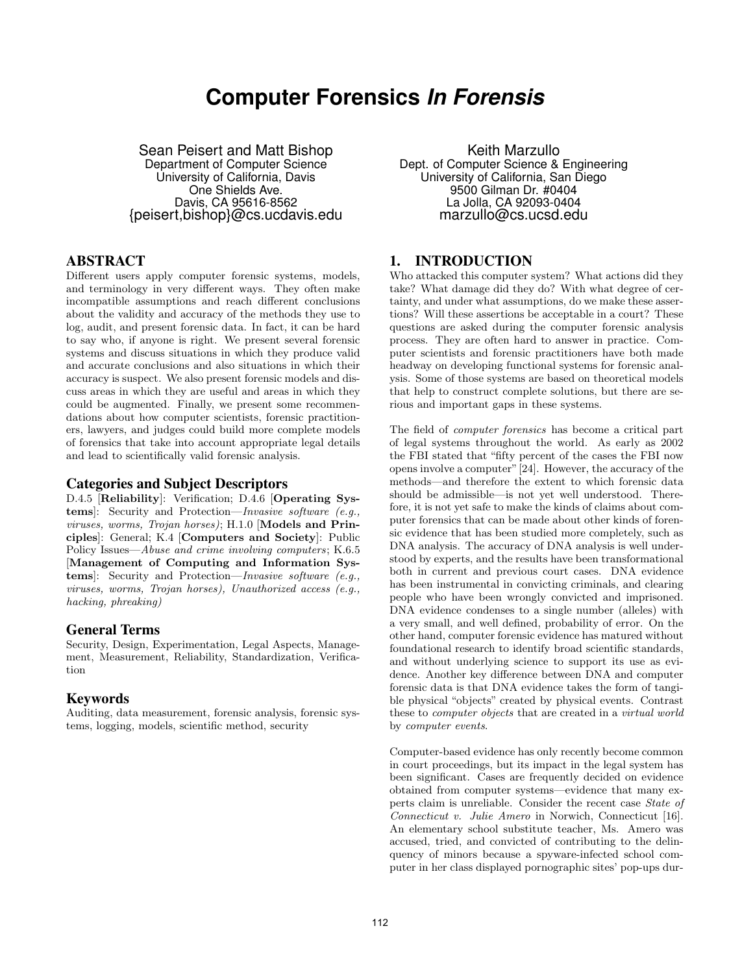# **Computer Forensics** *In Forensis*

Sean Peisert and Matt Bishop Department of Computer Science University of California, Davis One Shields Ave. Davis, CA 95616-8562 {peisert,bishop}@cs.ucdavis.edu

# ABSTRACT

Different users apply computer forensic systems, models, and terminology in very different ways. They often make incompatible assumptions and reach different conclusions about the validity and accuracy of the methods they use to log, audit, and present forensic data. In fact, it can be hard to say who, if anyone is right. We present several forensic systems and discuss situations in which they produce valid and accurate conclusions and also situations in which their accuracy is suspect. We also present forensic models and discuss areas in which they are useful and areas in which they could be augmented. Finally, we present some recommendations about how computer scientists, forensic practitioners, lawyers, and judges could build more complete models of forensics that take into account appropriate legal details and lead to scientifically valid forensic analysis.

#### Categories and Subject Descriptors

D.4.5 [Reliability]: Verification; D.4.6 [Operating Systems]: Security and Protection—Invasive software (e.g., viruses, worms, Trojan horses); H.1.0 [Models and Principles]: General; K.4 [Computers and Society]: Public Policy Issues—Abuse and crime involving computers; K.6.5 [Management of Computing and Information Systems]: Security and Protection—Invasive software (e.g., viruses, worms, Trojan horses), Unauthorized access (e.g., hacking, phreaking)

## General Terms

Security, Design, Experimentation, Legal Aspects, Management, Measurement, Reliability, Standardization, Verification

#### Keywords

Auditing, data measurement, forensic analysis, forensic systems, logging, models, scientific method, security

Keith Marzullo Dept. of Computer Science & Engineering University of California, San Diego 9500 Gilman Dr. #0404 La Jolla, CA 92093-0404 marzullo@cs.ucsd.edu

# 1. INTRODUCTION

Who attacked this computer system? What actions did they take? What damage did they do? With what degree of certainty, and under what assumptions, do we make these assertions? Will these assertions be acceptable in a court? These questions are asked during the computer forensic analysis process. They are often hard to answer in practice. Computer scientists and forensic practitioners have both made headway on developing functional systems for forensic analysis. Some of those systems are based on theoretical models that help to construct complete solutions, but there are serious and important gaps in these systems.

The field of computer forensics has become a critical part of legal systems throughout the world. As early as 2002 the FBI stated that "fifty percent of the cases the FBI now opens involve a computer"[24]. However, the accuracy of the methods—and therefore the extent to which forensic data should be admissible—is not yet well understood. Therefore, it is not yet safe to make the kinds of claims about computer forensics that can be made about other kinds of forensic evidence that has been studied more completely, such as DNA analysis. The accuracy of DNA analysis is well understood by experts, and the results have been transformational both in current and previous court cases. DNA evidence has been instrumental in convicting criminals, and clearing people who have been wrongly convicted and imprisoned. DNA evidence condenses to a single number (alleles) with a very small, and well defined, probability of error. On the other hand, computer forensic evidence has matured without foundational research to identify broad scientific standards, and without underlying science to support its use as evidence. Another key difference between DNA and computer forensic data is that DNA evidence takes the form of tangible physical "objects" created by physical events. Contrast these to computer objects that are created in a virtual world by computer events.

Computer-based evidence has only recently become common in court proceedings, but its impact in the legal system has been significant. Cases are frequently decided on evidence obtained from computer systems—evidence that many experts claim is unreliable. Consider the recent case State of Connecticut v. Julie Amero in Norwich, Connecticut [16]. An elementary school substitute teacher, Ms. Amero was accused, tried, and convicted of contributing to the delinquency of minors because a spyware-infected school computer in her class displayed pornographic sites' pop-ups dur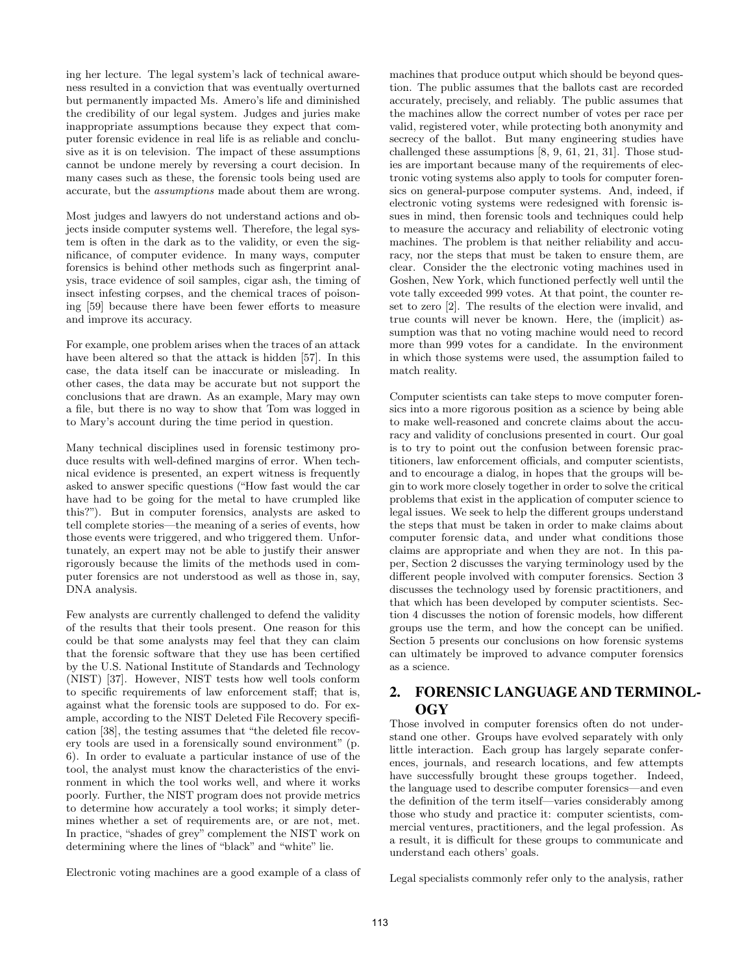ing her lecture. The legal system's lack of technical awareness resulted in a conviction that was eventually overturned but permanently impacted Ms. Amero's life and diminished the credibility of our legal system. Judges and juries make inappropriate assumptions because they expect that computer forensic evidence in real life is as reliable and conclusive as it is on television. The impact of these assumptions cannot be undone merely by reversing a court decision. In many cases such as these, the forensic tools being used are accurate, but the assumptions made about them are wrong.

Most judges and lawyers do not understand actions and objects inside computer systems well. Therefore, the legal system is often in the dark as to the validity, or even the significance, of computer evidence. In many ways, computer forensics is behind other methods such as fingerprint analysis, trace evidence of soil samples, cigar ash, the timing of insect infesting corpses, and the chemical traces of poisoning [59] because there have been fewer efforts to measure and improve its accuracy.

For example, one problem arises when the traces of an attack have been altered so that the attack is hidden [57]. In this case, the data itself can be inaccurate or misleading. In other cases, the data may be accurate but not support the conclusions that are drawn. As an example, Mary may own a file, but there is no way to show that Tom was logged in to Mary's account during the time period in question.

Many technical disciplines used in forensic testimony produce results with well-defined margins of error. When technical evidence is presented, an expert witness is frequently asked to answer specific questions ("How fast would the car have had to be going for the metal to have crumpled like this?"). But in computer forensics, analysts are asked to tell complete stories—the meaning of a series of events, how those events were triggered, and who triggered them. Unfortunately, an expert may not be able to justify their answer rigorously because the limits of the methods used in computer forensics are not understood as well as those in, say, DNA analysis.

Few analysts are currently challenged to defend the validity of the results that their tools present. One reason for this could be that some analysts may feel that they can claim that the forensic software that they use has been certified by the U.S. National Institute of Standards and Technology (NIST) [37]. However, NIST tests how well tools conform to specific requirements of law enforcement staff; that is, against what the forensic tools are supposed to do. For example, according to the NIST Deleted File Recovery specification [38], the testing assumes that "the deleted file recovery tools are used in a forensically sound environment" (p. 6). In order to evaluate a particular instance of use of the tool, the analyst must know the characteristics of the environment in which the tool works well, and where it works poorly. Further, the NIST program does not provide metrics to determine how accurately a tool works; it simply determines whether a set of requirements are, or are not, met. In practice, "shades of grey" complement the NIST work on determining where the lines of "black" and "white" lie.

Electronic voting machines are a good example of a class of

machines that produce output which should be beyond question. The public assumes that the ballots cast are recorded accurately, precisely, and reliably. The public assumes that the machines allow the correct number of votes per race per valid, registered voter, while protecting both anonymity and secrecy of the ballot. But many engineering studies have challenged these assumptions [8, 9, 61, 21, 31]. Those studies are important because many of the requirements of electronic voting systems also apply to tools for computer forensics on general-purpose computer systems. And, indeed, if electronic voting systems were redesigned with forensic issues in mind, then forensic tools and techniques could help to measure the accuracy and reliability of electronic voting machines. The problem is that neither reliability and accuracy, nor the steps that must be taken to ensure them, are clear. Consider the the electronic voting machines used in Goshen, New York, which functioned perfectly well until the vote tally exceeded 999 votes. At that point, the counter reset to zero [2]. The results of the election were invalid, and true counts will never be known. Here, the (implicit) assumption was that no voting machine would need to record more than 999 votes for a candidate. In the environment in which those systems were used, the assumption failed to match reality.

Computer scientists can take steps to move computer forensics into a more rigorous position as a science by being able to make well-reasoned and concrete claims about the accuracy and validity of conclusions presented in court. Our goal is to try to point out the confusion between forensic practitioners, law enforcement officials, and computer scientists, and to encourage a dialog, in hopes that the groups will begin to work more closely together in order to solve the critical problems that exist in the application of computer science to legal issues. We seek to help the different groups understand the steps that must be taken in order to make claims about computer forensic data, and under what conditions those claims are appropriate and when they are not. In this paper, Section 2 discusses the varying terminology used by the different people involved with computer forensics. Section 3 discusses the technology used by forensic practitioners, and that which has been developed by computer scientists. Section 4 discusses the notion of forensic models, how different groups use the term, and how the concept can be unified. Section 5 presents our conclusions on how forensic systems can ultimately be improved to advance computer forensics as a science.

# 2. FORENSIC LANGUAGE AND TERMINOL-OGY

Those involved in computer forensics often do not understand one other. Groups have evolved separately with only little interaction. Each group has largely separate conferences, journals, and research locations, and few attempts have successfully brought these groups together. Indeed, the language used to describe computer forensics—and even the definition of the term itself—varies considerably among those who study and practice it: computer scientists, commercial ventures, practitioners, and the legal profession. As a result, it is difficult for these groups to communicate and understand each others' goals.

Legal specialists commonly refer only to the analysis, rather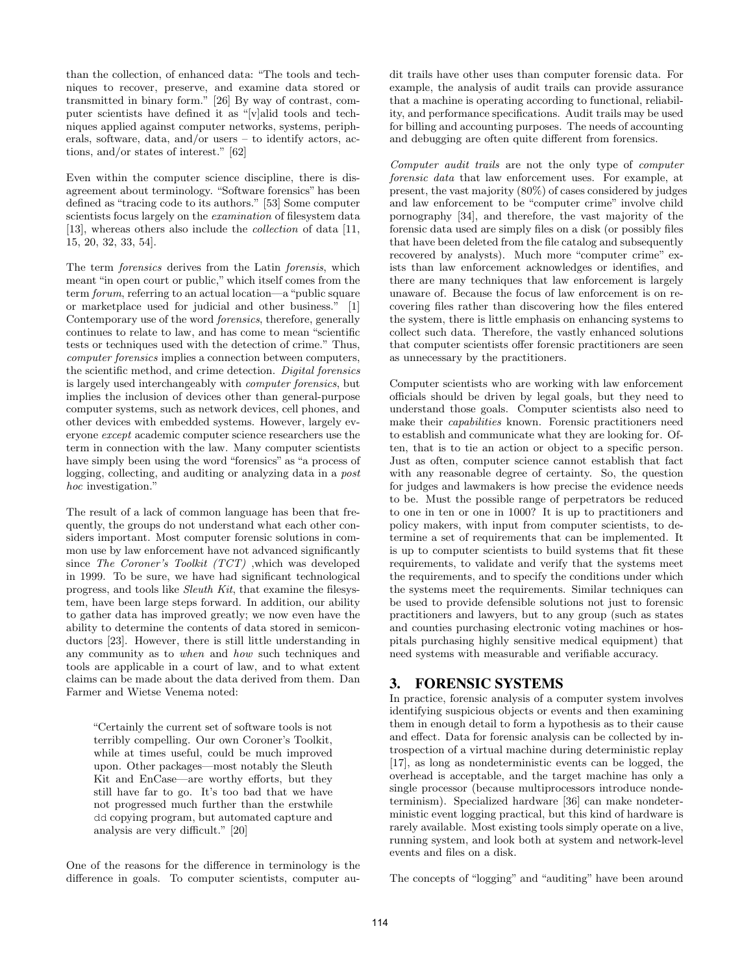than the collection, of enhanced data: "The tools and techniques to recover, preserve, and examine data stored or transmitted in binary form." [26] By way of contrast, computer scientists have defined it as "[v]alid tools and techniques applied against computer networks, systems, peripherals, software, data, and/or users – to identify actors, actions, and/or states of interest." [62]

Even within the computer science discipline, there is disagreement about terminology. "Software forensics" has been defined as "tracing code to its authors." [53] Some computer scientists focus largely on the examination of filesystem data [13], whereas others also include the *collection* of data [11, 15, 20, 32, 33, 54].

The term forensics derives from the Latin forensis, which meant "in open court or public," which itself comes from the term forum, referring to an actual location—a "public square or marketplace used for judicial and other business." [1] Contemporary use of the word forensics, therefore, generally continues to relate to law, and has come to mean "scientific tests or techniques used with the detection of crime." Thus, computer forensics implies a connection between computers, the scientific method, and crime detection. Digital forensics is largely used interchangeably with computer forensics, but implies the inclusion of devices other than general-purpose computer systems, such as network devices, cell phones, and other devices with embedded systems. However, largely everyone except academic computer science researchers use the term in connection with the law. Many computer scientists have simply been using the word "forensics" as "a process of logging, collecting, and auditing or analyzing data in a post hoc investigation."

The result of a lack of common language has been that frequently, the groups do not understand what each other considers important. Most computer forensic solutions in common use by law enforcement have not advanced significantly since The Coroner's Toolkit (TCT) ,which was developed in 1999. To be sure, we have had significant technological progress, and tools like Sleuth Kit, that examine the filesystem, have been large steps forward. In addition, our ability to gather data has improved greatly; we now even have the ability to determine the contents of data stored in semiconductors [23]. However, there is still little understanding in any community as to when and how such techniques and tools are applicable in a court of law, and to what extent claims can be made about the data derived from them. Dan Farmer and Wietse Venema noted:

"Certainly the current set of software tools is not terribly compelling. Our own Coroner's Toolkit, while at times useful, could be much improved upon. Other packages—most notably the Sleuth Kit and EnCase—are worthy efforts, but they still have far to go. It's too bad that we have not progressed much further than the erstwhile dd copying program, but automated capture and analysis are very difficult." [20]

One of the reasons for the difference in terminology is the difference in goals. To computer scientists, computer audit trails have other uses than computer forensic data. For example, the analysis of audit trails can provide assurance that a machine is operating according to functional, reliability, and performance specifications. Audit trails may be used for billing and accounting purposes. The needs of accounting and debugging are often quite different from forensics.

Computer audit trails are not the only type of computer forensic data that law enforcement uses. For example, at present, the vast majority (80%) of cases considered by judges and law enforcement to be "computer crime" involve child pornography [34], and therefore, the vast majority of the forensic data used are simply files on a disk (or possibly files that have been deleted from the file catalog and subsequently recovered by analysts). Much more "computer crime" exists than law enforcement acknowledges or identifies, and there are many techniques that law enforcement is largely unaware of. Because the focus of law enforcement is on recovering files rather than discovering how the files entered the system, there is little emphasis on enhancing systems to collect such data. Therefore, the vastly enhanced solutions that computer scientists offer forensic practitioners are seen as unnecessary by the practitioners.

Computer scientists who are working with law enforcement officials should be driven by legal goals, but they need to understand those goals. Computer scientists also need to make their capabilities known. Forensic practitioners need to establish and communicate what they are looking for. Often, that is to tie an action or object to a specific person. Just as often, computer science cannot establish that fact with any reasonable degree of certainty. So, the question for judges and lawmakers is how precise the evidence needs to be. Must the possible range of perpetrators be reduced to one in ten or one in 1000? It is up to practitioners and policy makers, with input from computer scientists, to determine a set of requirements that can be implemented. It is up to computer scientists to build systems that fit these requirements, to validate and verify that the systems meet the requirements, and to specify the conditions under which the systems meet the requirements. Similar techniques can be used to provide defensible solutions not just to forensic practitioners and lawyers, but to any group (such as states and counties purchasing electronic voting machines or hospitals purchasing highly sensitive medical equipment) that need systems with measurable and verifiable accuracy.

# 3. FORENSIC SYSTEMS

In practice, forensic analysis of a computer system involves identifying suspicious objects or events and then examining them in enough detail to form a hypothesis as to their cause and effect. Data for forensic analysis can be collected by introspection of a virtual machine during deterministic replay [17], as long as nondeterministic events can be logged, the overhead is acceptable, and the target machine has only a single processor (because multiprocessors introduce nondeterminism). Specialized hardware [36] can make nondeterministic event logging practical, but this kind of hardware is rarely available. Most existing tools simply operate on a live, running system, and look both at system and network-level events and files on a disk.

The concepts of "logging" and "auditing" have been around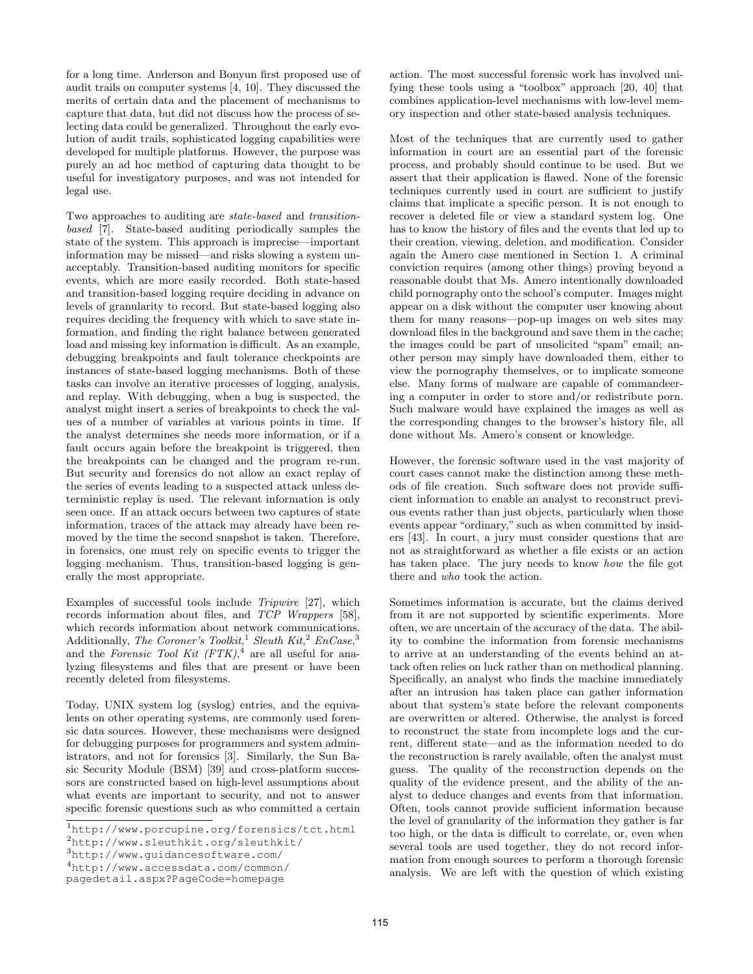for a long time. Anderson and Bonyun first proposed use of audit trails on computer systems [4, 10]. They discussed the merits of certain data and the placement of mechanisms to capture that data, but did not discuss how the process of selecting data could be generalized. Throughout the early evolution of audit trails, sophisticated logging capabilities were developed for multiple platforms. However, the purpose was purely an ad hoc method of capturing data thought to be useful for investigatory purposes, and was not intended for legal use.

Two approaches to auditing are state-based and transitionbased [7]. State-based auditing periodically samples the state of the system. This approach is imprecise—important information may be missed—and risks slowing a system unacceptably. Transition-based auditing monitors for specific events, which are more easily recorded. Both state-based and transition-based logging require deciding in advance on levels of granularity to record. But state-based logging also requires deciding the frequency with which to save state information, and finding the right balance between generated load and missing key information is difficult. As an example, debugging breakpoints and fault tolerance checkpoints are instances of state-based logging mechanisms. Both of these tasks can involve an iterative processes of logging, analysis, and replay. With debugging, when a bug is suspected, the analyst might insert a series of breakpoints to check the values of a number of variables at various points in time. If the analyst determines she needs more information, or if a fault occurs again before the breakpoint is triggered, then the breakpoints can be changed and the program re-run. But security and forensics do not allow an exact replay of the series of events leading to a suspected attack unless deterministic replay is used. The relevant information is only seen once. If an attack occurs between two captures of state information, traces of the attack may already have been removed by the time the second snapshot is taken. Therefore, in forensics, one must rely on specific events to trigger the logging mechanism. Thus, transition-based logging is generally the most appropriate.

Examples of successful tools include Tripwire [27], which records information about files, and TCP Wrappers [58], which records information about network communications. Additionally, The Coroner's Toolkit,<sup>1</sup> Sleuth Kit,<sup>2</sup> EnCase,<sup>3</sup> and the Forensic Tool Kit  $(FTK)^4$  are all useful for analyzing filesystems and files that are present or have been recently deleted from filesystems.

Today, UNIX system log (syslog) entries, and the equivalents on other operating systems, are commonly used forensic data sources. However, these mechanisms were designed for debugging purposes for programmers and system administrators, and not for forensics [3]. Similarly, the Sun Basic Security Module (BSM) [39] and cross-platform successors are constructed based on high-level assumptions about what events are important to security, and not to answer specific forensic questions such as who committed a certain

<sup>3</sup>http://www.guidancesoftware.com/

action. The most successful forensic work has involved unifying these tools using a "toolbox" approach [20, 40] that combines application-level mechanisms with low-level memory inspection and other state-based analysis techniques.

Most of the techniques that are currently used to gather information in court are an essential part of the forensic process, and probably should continue to be used. But we assert that their application is flawed. None of the forensic techniques currently used in court are sufficient to justify claims that implicate a specific person. It is not enough to recover a deleted file or view a standard system log. One has to know the history of files and the events that led up to their creation, viewing, deletion, and modification. Consider again the Amero case mentioned in Section 1. A criminal conviction requires (among other things) proving beyond a reasonable doubt that Ms. Amero intentionally downloaded child pornography onto the school's computer. Images might appear on a disk without the computer user knowing about them for many reasons—pop-up images on web sites may download files in the background and save them in the cache; the images could be part of unsolicited "spam" email; another person may simply have downloaded them, either to view the pornography themselves, or to implicate someone else. Many forms of malware are capable of commandeering a computer in order to store and/or redistribute porn. Such malware would have explained the images as well as the corresponding changes to the browser's history file, all done without Ms. Amero's consent or knowledge.

However, the forensic software used in the vast majority of court cases cannot make the distinction among these methods of file creation. Such software does not provide sufficient information to enable an analyst to reconstruct previous events rather than just objects, particularly when those events appear "ordinary," such as when committed by insiders [43]. In court, a jury must consider questions that are not as straightforward as whether a file exists or an action has taken place. The jury needs to know how the file got there and who took the action.

Sometimes information is accurate, but the claims derived from it are not supported by scientific experiments. More often, we are uncertain of the accuracy of the data. The ability to combine the information from forensic mechanisms to arrive at an understanding of the events behind an attack often relies on luck rather than on methodical planning. Specifically, an analyst who finds the machine immediately after an intrusion has taken place can gather information about that system's state before the relevant components are overwritten or altered. Otherwise, the analyst is forced to reconstruct the state from incomplete logs and the current, different state—and as the information needed to do the reconstruction is rarely available, often the analyst must guess. The quality of the reconstruction depends on the quality of the evidence present, and the ability of the analyst to deduce changes and events from that information. Often, tools cannot provide sufficient information because the level of granularity of the information they gather is far too high, or the data is difficult to correlate, or, even when several tools are used together, they do not record information from enough sources to perform a thorough forensic analysis. We are left with the question of which existing

<sup>1</sup>http://www.porcupine.org/forensics/tct.html

<sup>2</sup>http://www.sleuthkit.org/sleuthkit/

<sup>4</sup>http://www.accessdata.com/common/

pagedetail.aspx?PageCode=homepage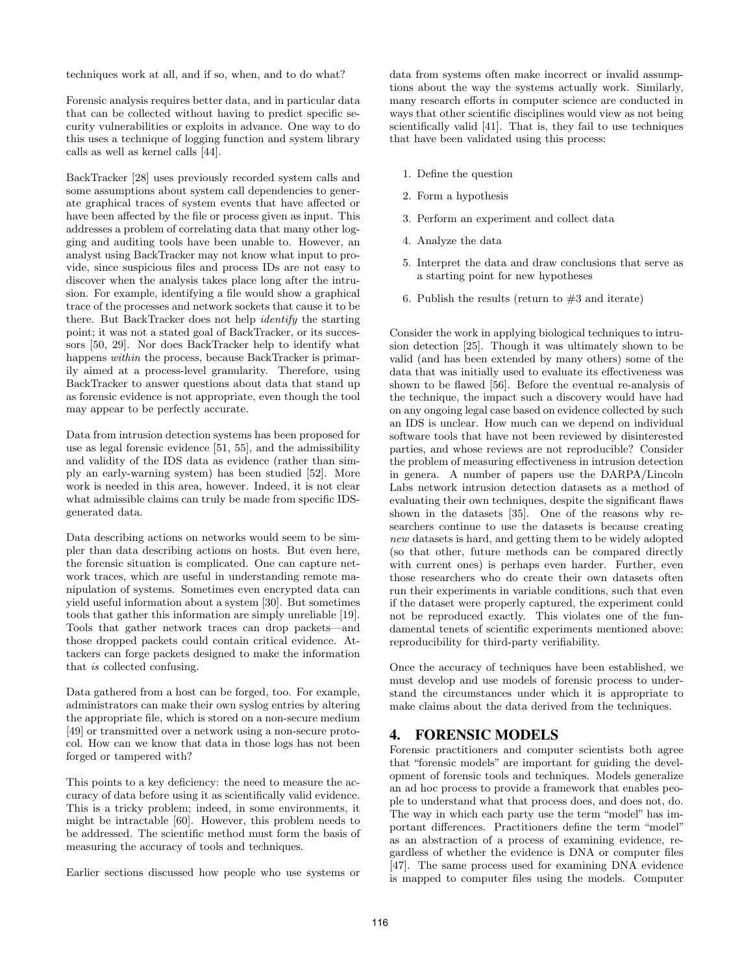techniques work at all, and if so, when, and to do what?

Forensic analysis requires better data, and in particular data that can be collected without having to predict specific security vulnerabilities or exploits in advance. One way to do this uses a technique of logging function and system library calls as well as kernel calls [44].

BackTracker [28] uses previously recorded system calls and some assumptions about system call dependencies to generate graphical traces of system events that have affected or have been affected by the file or process given as input. This addresses a problem of correlating data that many other logging and auditing tools have been unable to. However, an analyst using BackTracker may not know what input to provide, since suspicious files and process IDs are not easy to discover when the analysis takes place long after the intrusion. For example, identifying a file would show a graphical trace of the processes and network sockets that cause it to be there. But BackTracker does not help identify the starting point; it was not a stated goal of BackTracker, or its successors [50, 29]. Nor does BackTracker help to identify what happens *within* the process, because BackTracker is primarily aimed at a process-level granularity. Therefore, using BackTracker to answer questions about data that stand up as forensic evidence is not appropriate, even though the tool may appear to be perfectly accurate.

Data from intrusion detection systems has been proposed for use as legal forensic evidence [51, 55], and the admissibility and validity of the IDS data as evidence (rather than simply an early-warning system) has been studied [52]. More work is needed in this area, however. Indeed, it is not clear what admissible claims can truly be made from specific IDSgenerated data.

Data describing actions on networks would seem to be simpler than data describing actions on hosts. But even here, the forensic situation is complicated. One can capture network traces, which are useful in understanding remote manipulation of systems. Sometimes even encrypted data can yield useful information about a system [30]. But sometimes tools that gather this information are simply unreliable [19]. Tools that gather network traces can drop packets—and those dropped packets could contain critical evidence. Attackers can forge packets designed to make the information that is collected confusing.

Data gathered from a host can be forged, too. For example, administrators can make their own syslog entries by altering the appropriate file, which is stored on a non-secure medium [49] or transmitted over a network using a non-secure protocol. How can we know that data in those logs has not been forged or tampered with?

This points to a key deficiency: the need to measure the accuracy of data before using it as scientifically valid evidence. This is a tricky problem; indeed, in some environments, it might be intractable [60]. However, this problem needs to be addressed. The scientific method must form the basis of measuring the accuracy of tools and techniques.

Earlier sections discussed how people who use systems or

data from systems often make incorrect or invalid assumptions about the way the systems actually work. Similarly, many research efforts in computer science are conducted in ways that other scientific disciplines would view as not being scientifically valid [41]. That is, they fail to use techniques that have been validated using this process:

- 1. Define the question
- 2. Form a hypothesis
- 3. Perform an experiment and collect data
- 4. Analyze the data
- 5. Interpret the data and draw conclusions that serve as a starting point for new hypotheses
- 6. Publish the results (return to  $#3$  and iterate)

Consider the work in applying biological techniques to intrusion detection [25]. Though it was ultimately shown to be valid (and has been extended by many others) some of the data that was initially used to evaluate its effectiveness was shown to be flawed [56]. Before the eventual re-analysis of the technique, the impact such a discovery would have had on any ongoing legal case based on evidence collected by such an IDS is unclear. How much can we depend on individual software tools that have not been reviewed by disinterested parties, and whose reviews are not reproducible? Consider the problem of measuring effectiveness in intrusion detection in genera. A number of papers use the DARPA/Lincoln Labs network intrusion detection datasets as a method of evaluating their own techniques, despite the significant flaws shown in the datasets [35]. One of the reasons why researchers continue to use the datasets is because creating new datasets is hard, and getting them to be widely adopted (so that other, future methods can be compared directly with current ones) is perhaps even harder. Further, even those researchers who do create their own datasets often run their experiments in variable conditions, such that even if the dataset were properly captured, the experiment could not be reproduced exactly. This violates one of the fundamental tenets of scientific experiments mentioned above: reproducibility for third-party verifiability.

Once the accuracy of techniques have been established, we must develop and use models of forensic process to understand the circumstances under which it is appropriate to make claims about the data derived from the techniques.

# 4. FORENSIC MODELS

Forensic practitioners and computer scientists both agree that "forensic models" are important for guiding the development of forensic tools and techniques. Models generalize an ad hoc process to provide a framework that enables people to understand what that process does, and does not, do. The way in which each party use the term "model" has important differences. Practitioners define the term "model" as an abstraction of a process of examining evidence, regardless of whether the evidence is DNA or computer files [47]. The same process used for examining DNA evidence is mapped to computer files using the models. Computer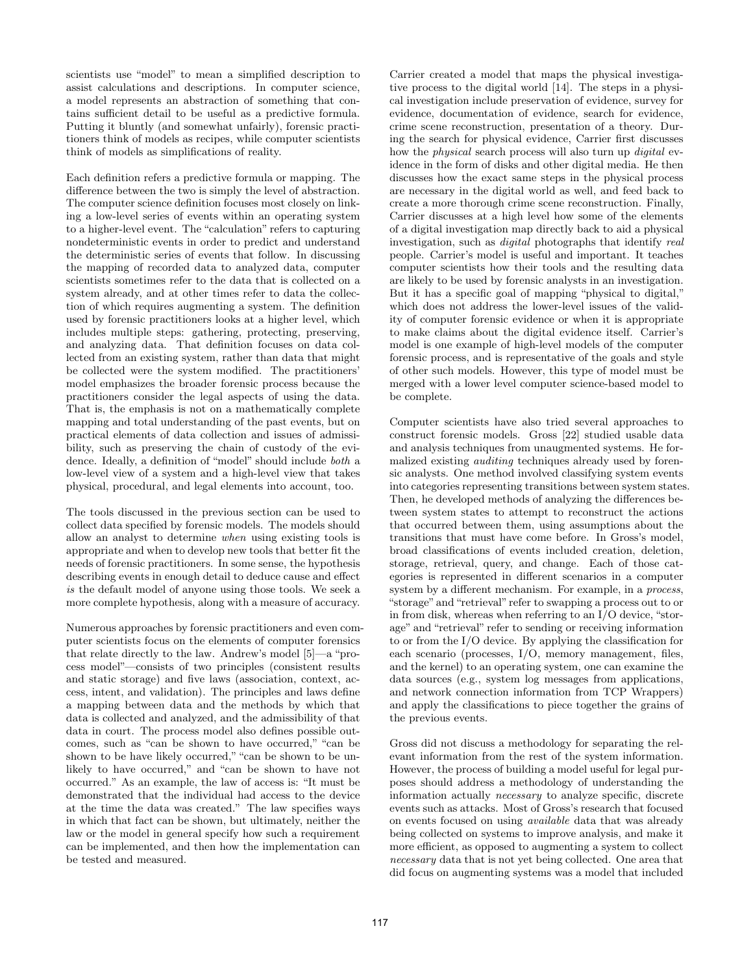scientists use "model" to mean a simplified description to assist calculations and descriptions. In computer science, a model represents an abstraction of something that contains sufficient detail to be useful as a predictive formula. Putting it bluntly (and somewhat unfairly), forensic practitioners think of models as recipes, while computer scientists think of models as simplifications of reality.

Each definition refers a predictive formula or mapping. The difference between the two is simply the level of abstraction. The computer science definition focuses most closely on linking a low-level series of events within an operating system to a higher-level event. The "calculation" refers to capturing nondeterministic events in order to predict and understand the deterministic series of events that follow. In discussing the mapping of recorded data to analyzed data, computer scientists sometimes refer to the data that is collected on a system already, and at other times refer to data the collection of which requires augmenting a system. The definition used by forensic practitioners looks at a higher level, which includes multiple steps: gathering, protecting, preserving, and analyzing data. That definition focuses on data collected from an existing system, rather than data that might be collected were the system modified. The practitioners' model emphasizes the broader forensic process because the practitioners consider the legal aspects of using the data. That is, the emphasis is not on a mathematically complete mapping and total understanding of the past events, but on practical elements of data collection and issues of admissibility, such as preserving the chain of custody of the evidence. Ideally, a definition of "model" should include both a low-level view of a system and a high-level view that takes physical, procedural, and legal elements into account, too.

The tools discussed in the previous section can be used to collect data specified by forensic models. The models should allow an analyst to determine when using existing tools is appropriate and when to develop new tools that better fit the needs of forensic practitioners. In some sense, the hypothesis describing events in enough detail to deduce cause and effect is the default model of anyone using those tools. We seek a more complete hypothesis, along with a measure of accuracy.

Numerous approaches by forensic practitioners and even computer scientists focus on the elements of computer forensics that relate directly to the law. Andrew's model [5]—a "process model"—consists of two principles (consistent results and static storage) and five laws (association, context, access, intent, and validation). The principles and laws define a mapping between data and the methods by which that data is collected and analyzed, and the admissibility of that data in court. The process model also defines possible outcomes, such as "can be shown to have occurred," "can be shown to be have likely occurred,""can be shown to be unlikely to have occurred," and "can be shown to have not occurred." As an example, the law of access is: "It must be demonstrated that the individual had access to the device at the time the data was created." The law specifies ways in which that fact can be shown, but ultimately, neither the law or the model in general specify how such a requirement can be implemented, and then how the implementation can be tested and measured.

Carrier created a model that maps the physical investigative process to the digital world [14]. The steps in a physical investigation include preservation of evidence, survey for evidence, documentation of evidence, search for evidence, crime scene reconstruction, presentation of a theory. During the search for physical evidence, Carrier first discusses how the *physical* search process will also turn up *digital* evidence in the form of disks and other digital media. He then discusses how the exact same steps in the physical process are necessary in the digital world as well, and feed back to create a more thorough crime scene reconstruction. Finally, Carrier discusses at a high level how some of the elements of a digital investigation map directly back to aid a physical investigation, such as digital photographs that identify real people. Carrier's model is useful and important. It teaches computer scientists how their tools and the resulting data are likely to be used by forensic analysts in an investigation. But it has a specific goal of mapping "physical to digital," which does not address the lower-level issues of the validity of computer forensic evidence or when it is appropriate to make claims about the digital evidence itself. Carrier's model is one example of high-level models of the computer forensic process, and is representative of the goals and style of other such models. However, this type of model must be merged with a lower level computer science-based model to be complete.

Computer scientists have also tried several approaches to construct forensic models. Gross [22] studied usable data and analysis techniques from unaugmented systems. He formalized existing auditing techniques already used by forensic analysts. One method involved classifying system events into categories representing transitions between system states. Then, he developed methods of analyzing the differences between system states to attempt to reconstruct the actions that occurred between them, using assumptions about the transitions that must have come before. In Gross's model, broad classifications of events included creation, deletion, storage, retrieval, query, and change. Each of those categories is represented in different scenarios in a computer system by a different mechanism. For example, in a process, "storage" and "retrieval" refer to swapping a process out to or in from disk, whereas when referring to an I/O device, "storage" and "retrieval" refer to sending or receiving information to or from the I/O device. By applying the classification for each scenario (processes, I/O, memory management, files, and the kernel) to an operating system, one can examine the data sources (e.g., system log messages from applications, and network connection information from TCP Wrappers) and apply the classifications to piece together the grains of the previous events.

Gross did not discuss a methodology for separating the relevant information from the rest of the system information. However, the process of building a model useful for legal purposes should address a methodology of understanding the information actually necessary to analyze specific, discrete events such as attacks. Most of Gross's research that focused on events focused on using available data that was already being collected on systems to improve analysis, and make it more efficient, as opposed to augmenting a system to collect necessary data that is not yet being collected. One area that did focus on augmenting systems was a model that included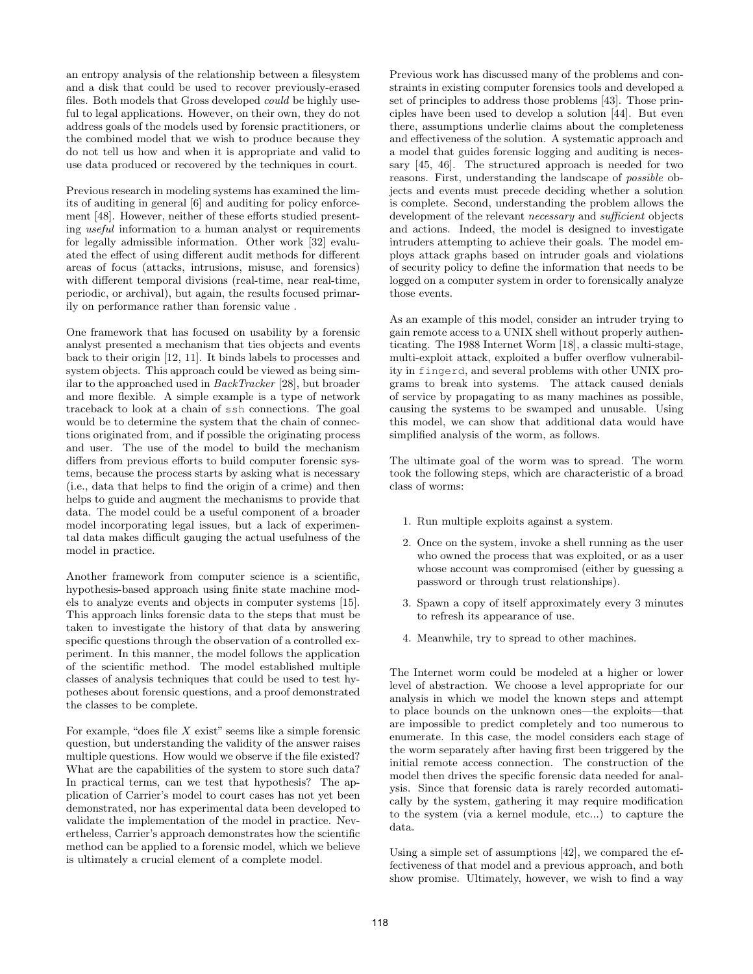an entropy analysis of the relationship between a filesystem and a disk that could be used to recover previously-erased files. Both models that Gross developed could be highly useful to legal applications. However, on their own, they do not address goals of the models used by forensic practitioners, or the combined model that we wish to produce because they do not tell us how and when it is appropriate and valid to use data produced or recovered by the techniques in court.

Previous research in modeling systems has examined the limits of auditing in general [6] and auditing for policy enforcement [48]. However, neither of these efforts studied presenting useful information to a human analyst or requirements for legally admissible information. Other work [32] evaluated the effect of using different audit methods for different areas of focus (attacks, intrusions, misuse, and forensics) with different temporal divisions (real-time, near real-time, periodic, or archival), but again, the results focused primarily on performance rather than forensic value .

One framework that has focused on usability by a forensic analyst presented a mechanism that ties objects and events back to their origin [12, 11]. It binds labels to processes and system objects. This approach could be viewed as being similar to the approached used in BackTracker [28], but broader and more flexible. A simple example is a type of network traceback to look at a chain of ssh connections. The goal would be to determine the system that the chain of connections originated from, and if possible the originating process and user. The use of the model to build the mechanism differs from previous efforts to build computer forensic systems, because the process starts by asking what is necessary (i.e., data that helps to find the origin of a crime) and then helps to guide and augment the mechanisms to provide that data. The model could be a useful component of a broader model incorporating legal issues, but a lack of experimental data makes difficult gauging the actual usefulness of the model in practice.

Another framework from computer science is a scientific, hypothesis-based approach using finite state machine models to analyze events and objects in computer systems [15]. This approach links forensic data to the steps that must be taken to investigate the history of that data by answering specific questions through the observation of a controlled experiment. In this manner, the model follows the application of the scientific method. The model established multiple classes of analysis techniques that could be used to test hypotheses about forensic questions, and a proof demonstrated the classes to be complete.

For example, "does file  $X$  exist" seems like a simple forensic question, but understanding the validity of the answer raises multiple questions. How would we observe if the file existed? What are the capabilities of the system to store such data? In practical terms, can we test that hypothesis? The application of Carrier's model to court cases has not yet been demonstrated, nor has experimental data been developed to validate the implementation of the model in practice. Nevertheless, Carrier's approach demonstrates how the scientific method can be applied to a forensic model, which we believe is ultimately a crucial element of a complete model.

Previous work has discussed many of the problems and constraints in existing computer forensics tools and developed a set of principles to address those problems [43]. Those principles have been used to develop a solution [44]. But even there, assumptions underlie claims about the completeness and effectiveness of the solution. A systematic approach and a model that guides forensic logging and auditing is necessary [45, 46]. The structured approach is needed for two reasons. First, understanding the landscape of possible objects and events must precede deciding whether a solution is complete. Second, understanding the problem allows the development of the relevant *necessary* and *sufficient* objects and actions. Indeed, the model is designed to investigate intruders attempting to achieve their goals. The model employs attack graphs based on intruder goals and violations of security policy to define the information that needs to be logged on a computer system in order to forensically analyze those events.

As an example of this model, consider an intruder trying to gain remote access to a UNIX shell without properly authenticating. The 1988 Internet Worm [18], a classic multi-stage, multi-exploit attack, exploited a buffer overflow vulnerability in fingerd, and several problems with other UNIX programs to break into systems. The attack caused denials of service by propagating to as many machines as possible, causing the systems to be swamped and unusable. Using this model, we can show that additional data would have simplified analysis of the worm, as follows.

The ultimate goal of the worm was to spread. The worm took the following steps, which are characteristic of a broad class of worms:

- 1. Run multiple exploits against a system.
- 2. Once on the system, invoke a shell running as the user who owned the process that was exploited, or as a user whose account was compromised (either by guessing a password or through trust relationships).
- 3. Spawn a copy of itself approximately every 3 minutes to refresh its appearance of use.
- 4. Meanwhile, try to spread to other machines.

The Internet worm could be modeled at a higher or lower level of abstraction. We choose a level appropriate for our analysis in which we model the known steps and attempt to place bounds on the unknown ones—the exploits—that are impossible to predict completely and too numerous to enumerate. In this case, the model considers each stage of the worm separately after having first been triggered by the initial remote access connection. The construction of the model then drives the specific forensic data needed for analysis. Since that forensic data is rarely recorded automatically by the system, gathering it may require modification to the system (via a kernel module, etc...) to capture the data.

Using a simple set of assumptions [42], we compared the effectiveness of that model and a previous approach, and both show promise. Ultimately, however, we wish to find a way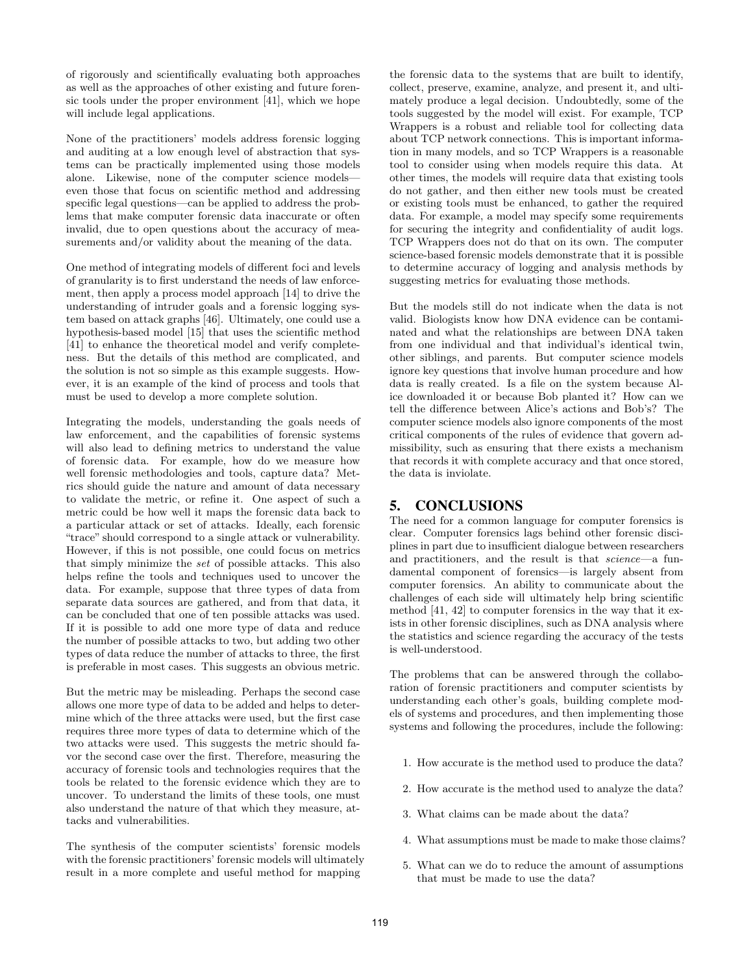of rigorously and scientifically evaluating both approaches as well as the approaches of other existing and future forensic tools under the proper environment [41], which we hope will include legal applications.

None of the practitioners' models address forensic logging and auditing at a low enough level of abstraction that systems can be practically implemented using those models alone. Likewise, none of the computer science models even those that focus on scientific method and addressing specific legal questions—can be applied to address the problems that make computer forensic data inaccurate or often invalid, due to open questions about the accuracy of measurements and/or validity about the meaning of the data.

One method of integrating models of different foci and levels of granularity is to first understand the needs of law enforcement, then apply a process model approach [14] to drive the understanding of intruder goals and a forensic logging system based on attack graphs [46]. Ultimately, one could use a hypothesis-based model [15] that uses the scientific method [41] to enhance the theoretical model and verify completeness. But the details of this method are complicated, and the solution is not so simple as this example suggests. However, it is an example of the kind of process and tools that must be used to develop a more complete solution.

Integrating the models, understanding the goals needs of law enforcement, and the capabilities of forensic systems will also lead to defining metrics to understand the value of forensic data. For example, how do we measure how well forensic methodologies and tools, capture data? Metrics should guide the nature and amount of data necessary to validate the metric, or refine it. One aspect of such a metric could be how well it maps the forensic data back to a particular attack or set of attacks. Ideally, each forensic "trace" should correspond to a single attack or vulnerability. However, if this is not possible, one could focus on metrics that simply minimize the set of possible attacks. This also helps refine the tools and techniques used to uncover the data. For example, suppose that three types of data from separate data sources are gathered, and from that data, it can be concluded that one of ten possible attacks was used. If it is possible to add one more type of data and reduce the number of possible attacks to two, but adding two other types of data reduce the number of attacks to three, the first is preferable in most cases. This suggests an obvious metric.

But the metric may be misleading. Perhaps the second case allows one more type of data to be added and helps to determine which of the three attacks were used, but the first case requires three more types of data to determine which of the two attacks were used. This suggests the metric should favor the second case over the first. Therefore, measuring the accuracy of forensic tools and technologies requires that the tools be related to the forensic evidence which they are to uncover. To understand the limits of these tools, one must also understand the nature of that which they measure, attacks and vulnerabilities.

The synthesis of the computer scientists' forensic models with the forensic practitioners' forensic models will ultimately result in a more complete and useful method for mapping

the forensic data to the systems that are built to identify, collect, preserve, examine, analyze, and present it, and ultimately produce a legal decision. Undoubtedly, some of the tools suggested by the model will exist. For example, TCP Wrappers is a robust and reliable tool for collecting data about TCP network connections. This is important information in many models, and so TCP Wrappers is a reasonable tool to consider using when models require this data. At other times, the models will require data that existing tools do not gather, and then either new tools must be created or existing tools must be enhanced, to gather the required data. For example, a model may specify some requirements for securing the integrity and confidentiality of audit logs. TCP Wrappers does not do that on its own. The computer science-based forensic models demonstrate that it is possible to determine accuracy of logging and analysis methods by suggesting metrics for evaluating those methods.

But the models still do not indicate when the data is not valid. Biologists know how DNA evidence can be contaminated and what the relationships are between DNA taken from one individual and that individual's identical twin, other siblings, and parents. But computer science models ignore key questions that involve human procedure and how data is really created. Is a file on the system because Alice downloaded it or because Bob planted it? How can we tell the difference between Alice's actions and Bob's? The computer science models also ignore components of the most critical components of the rules of evidence that govern admissibility, such as ensuring that there exists a mechanism that records it with complete accuracy and that once stored, the data is inviolate.

# 5. CONCLUSIONS

The need for a common language for computer forensics is clear. Computer forensics lags behind other forensic disciplines in part due to insufficient dialogue between researchers and practitioners, and the result is that science—a fundamental component of forensics—is largely absent from computer forensics. An ability to communicate about the challenges of each side will ultimately help bring scientific method [41, 42] to computer forensics in the way that it exists in other forensic disciplines, such as DNA analysis where the statistics and science regarding the accuracy of the tests is well-understood.

The problems that can be answered through the collaboration of forensic practitioners and computer scientists by understanding each other's goals, building complete models of systems and procedures, and then implementing those systems and following the procedures, include the following:

- 1. How accurate is the method used to produce the data?
- 2. How accurate is the method used to analyze the data?
- 3. What claims can be made about the data?
- 4. What assumptions must be made to make those claims?
- 5. What can we do to reduce the amount of assumptions that must be made to use the data?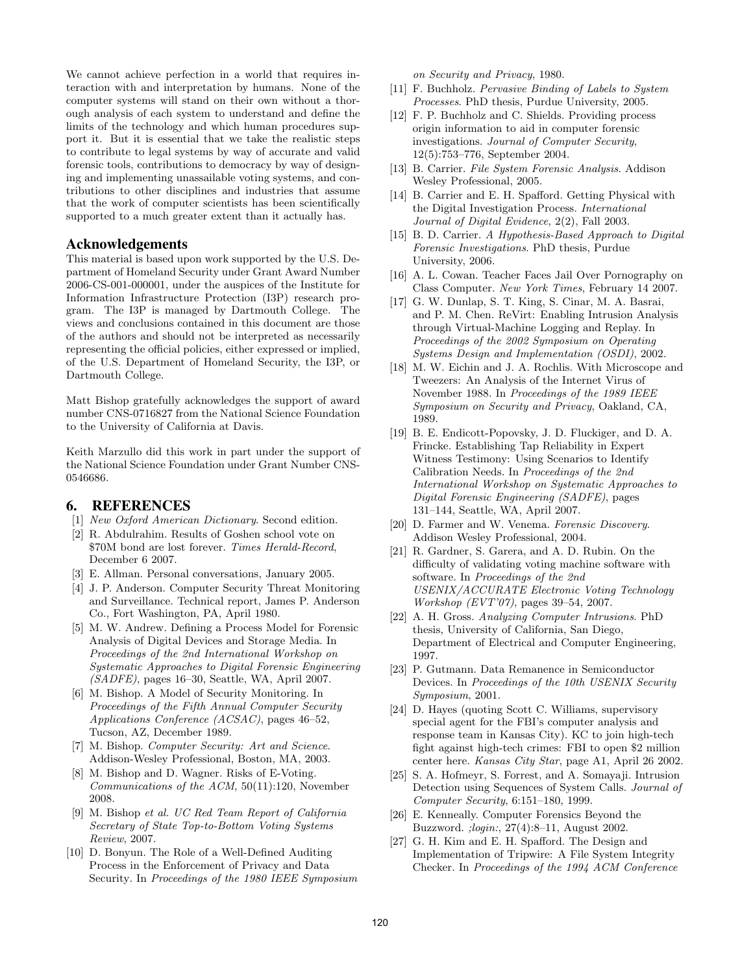We cannot achieve perfection in a world that requires interaction with and interpretation by humans. None of the computer systems will stand on their own without a thorough analysis of each system to understand and define the limits of the technology and which human procedures support it. But it is essential that we take the realistic steps to contribute to legal systems by way of accurate and valid forensic tools, contributions to democracy by way of designing and implementing unassailable voting systems, and contributions to other disciplines and industries that assume that the work of computer scientists has been scientifically supported to a much greater extent than it actually has.

# Acknowledgements

This material is based upon work supported by the U.S. Department of Homeland Security under Grant Award Number 2006-CS-001-000001, under the auspices of the Institute for Information Infrastructure Protection (I3P) research program. The I3P is managed by Dartmouth College. The views and conclusions contained in this document are those of the authors and should not be interpreted as necessarily representing the official policies, either expressed or implied, of the U.S. Department of Homeland Security, the I3P, or Dartmouth College.

Matt Bishop gratefully acknowledges the support of award number CNS-0716827 from the National Science Foundation to the University of California at Davis.

Keith Marzullo did this work in part under the support of the National Science Foundation under Grant Number CNS-0546686.

## 6. REFERENCES

- [1] New Oxford American Dictionary. Second edition.
- [2] R. Abdulrahim. Results of Goshen school vote on \$70M bond are lost forever. Times Herald-Record, December 6 2007.
- [3] E. Allman. Personal conversations, January 2005.
- [4] J. P. Anderson. Computer Security Threat Monitoring and Surveillance. Technical report, James P. Anderson Co., Fort Washington, PA, April 1980.
- [5] M. W. Andrew. Defining a Process Model for Forensic Analysis of Digital Devices and Storage Media. In Proceedings of the 2nd International Workshop on Systematic Approaches to Digital Forensic Engineering (SADFE), pages 16–30, Seattle, WA, April 2007.
- [6] M. Bishop. A Model of Security Monitoring. In Proceedings of the Fifth Annual Computer Security Applications Conference (ACSAC), pages 46–52, Tucson, AZ, December 1989.
- [7] M. Bishop. Computer Security: Art and Science. Addison-Wesley Professional, Boston, MA, 2003.
- [8] M. Bishop and D. Wagner. Risks of E-Voting. Communications of the ACM, 50(11):120, November 2008.
- [9] M. Bishop et al. UC Red Team Report of California Secretary of State Top-to-Bottom Voting Systems Review, 2007.
- [10] D. Bonyun. The Role of a Well-Defined Auditing Process in the Enforcement of Privacy and Data Security. In Proceedings of the 1980 IEEE Symposium

on Security and Privacy, 1980.

- [11] F. Buchholz. Pervasive Binding of Labels to System Processes. PhD thesis, Purdue University, 2005.
- [12] F. P. Buchholz and C. Shields. Providing process origin information to aid in computer forensic investigations. Journal of Computer Security, 12(5):753–776, September 2004.
- [13] B. Carrier. File System Forensic Analysis. Addison Wesley Professional, 2005.
- [14] B. Carrier and E. H. Spafford. Getting Physical with the Digital Investigation Process. International Journal of Digital Evidence, 2(2), Fall 2003.
- [15] B. D. Carrier. A Hypothesis-Based Approach to Digital Forensic Investigations. PhD thesis, Purdue University, 2006.
- [16] A. L. Cowan. Teacher Faces Jail Over Pornography on Class Computer. New York Times, February 14 2007.
- [17] G. W. Dunlap, S. T. King, S. Cinar, M. A. Basrai, and P. M. Chen. ReVirt: Enabling Intrusion Analysis through Virtual-Machine Logging and Replay. In Proceedings of the 2002 Symposium on Operating Systems Design and Implementation (OSDI), 2002.
- [18] M. W. Eichin and J. A. Rochlis. With Microscope and Tweezers: An Analysis of the Internet Virus of November 1988. In Proceedings of the 1989 IEEE Symposium on Security and Privacy, Oakland, CA, 1989.
- [19] B. E. Endicott-Popovsky, J. D. Fluckiger, and D. A. Frincke. Establishing Tap Reliability in Expert Witness Testimony: Using Scenarios to Identify Calibration Needs. In Proceedings of the 2nd International Workshop on Systematic Approaches to Digital Forensic Engineering (SADFE), pages 131–144, Seattle, WA, April 2007.
- [20] D. Farmer and W. Venema. Forensic Discovery. Addison Wesley Professional, 2004.
- [21] R. Gardner, S. Garera, and A. D. Rubin. On the difficulty of validating voting machine software with software. In Proceedings of the 2nd USENIX/ACCURATE Electronic Voting Technology Workshop (EVT'07), pages 39–54, 2007.
- [22] A. H. Gross. Analyzing Computer Intrusions. PhD thesis, University of California, San Diego, Department of Electrical and Computer Engineering, 1997.
- [23] P. Gutmann. Data Remanence in Semiconductor Devices. In Proceedings of the 10th USENIX Security Symposium, 2001.
- [24] D. Hayes (quoting Scott C. Williams, supervisory special agent for the FBI's computer analysis and response team in Kansas City). KC to join high-tech fight against high-tech crimes: FBI to open \$2 million center here. Kansas City Star, page A1, April 26 2002.
- [25] S. A. Hofmeyr, S. Forrest, and A. Somayaji. Intrusion Detection using Sequences of System Calls. Journal of Computer Security, 6:151–180, 1999.
- [26] E. Kenneally. Computer Forensics Beyond the Buzzword. ;login:, 27(4):8–11, August 2002.
- [27] G. H. Kim and E. H. Spafford. The Design and Implementation of Tripwire: A File System Integrity Checker. In Proceedings of the 1994 ACM Conference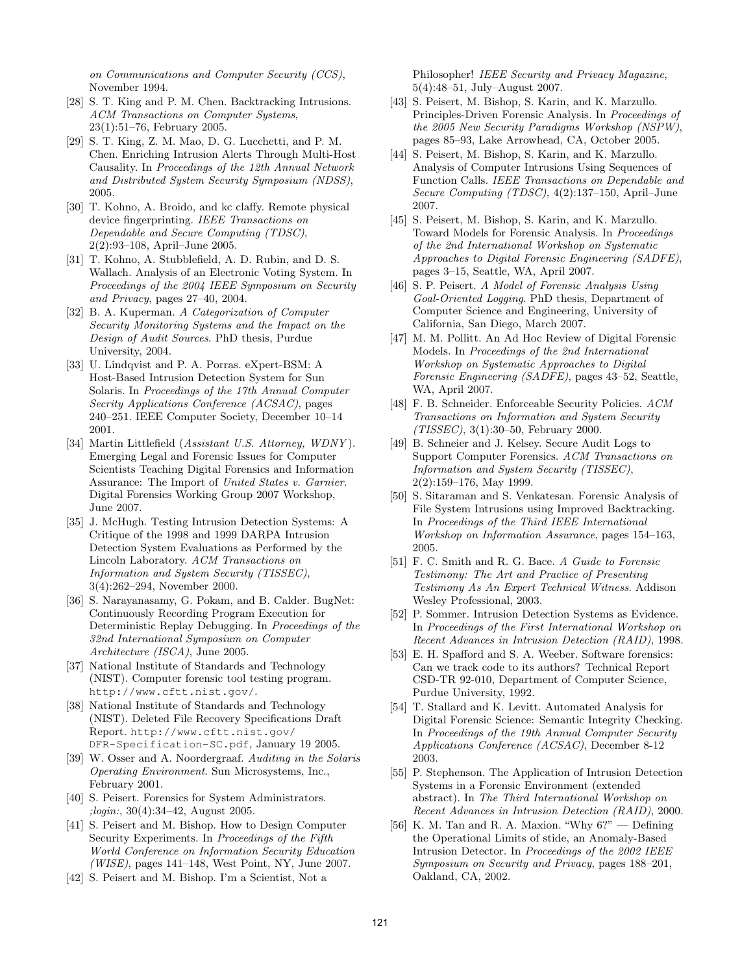on Communications and Computer Security (CCS), November 1994.

- [28] S. T. King and P. M. Chen. Backtracking Intrusions. ACM Transactions on Computer Systems, 23(1):51–76, February 2005.
- [29] S. T. King, Z. M. Mao, D. G. Lucchetti, and P. M. Chen. Enriching Intrusion Alerts Through Multi-Host Causality. In Proceedings of the 12th Annual Network and Distributed System Security Symposium (NDSS), 2005.
- [30] T. Kohno, A. Broido, and kc claffy. Remote physical device fingerprinting. IEEE Transactions on Dependable and Secure Computing (TDSC), 2(2):93–108, April–June 2005.
- [31] T. Kohno, A. Stubblefield, A. D. Rubin, and D. S. Wallach. Analysis of an Electronic Voting System. In Proceedings of the 2004 IEEE Symposium on Security and Privacy, pages 27–40, 2004.
- [32] B. A. Kuperman. A Categorization of Computer Security Monitoring Systems and the Impact on the Design of Audit Sources. PhD thesis, Purdue University, 2004.
- [33] U. Lindqvist and P. A. Porras. eXpert-BSM: A Host-Based Intrusion Detection System for Sun Solaris. In Proceedings of the 17th Annual Computer Secrity Applications Conference (ACSAC), pages 240–251. IEEE Computer Society, December 10–14 2001.
- [34] Martin Littlefield (*Assistant U.S. Attorney, WDNY*). Emerging Legal and Forensic Issues for Computer Scientists Teaching Digital Forensics and Information Assurance: The Import of United States v. Garnier. Digital Forensics Working Group 2007 Workshop, June 2007.
- [35] J. McHugh. Testing Intrusion Detection Systems: A Critique of the 1998 and 1999 DARPA Intrusion Detection System Evaluations as Performed by the Lincoln Laboratory. ACM Transactions on Information and System Security (TISSEC), 3(4):262–294, November 2000.
- [36] S. Narayanasamy, G. Pokam, and B. Calder. BugNet: Continuously Recording Program Execution for Deterministic Replay Debugging. In Proceedings of the 32nd International Symposium on Computer Architecture (ISCA), June 2005.
- [37] National Institute of Standards and Technology (NIST). Computer forensic tool testing program. http://www.cftt.nist.gov/.
- [38] National Institute of Standards and Technology (NIST). Deleted File Recovery Specifications Draft Report. http://www.cftt.nist.gov/ DFR-Specification-SC.pdf, January 19 2005.
- [39] W. Osser and A. Noordergraaf. Auditing in the Solaris Operating Environment. Sun Microsystems, Inc., February 2001.
- [40] S. Peisert. Forensics for System Administrators. ;login:, 30(4):34–42, August 2005.
- [41] S. Peisert and M. Bishop. How to Design Computer Security Experiments. In Proceedings of the Fifth World Conference on Information Security Education  $(WISE)$ , pages 141–148, West Point, NY, June 2007.
- [42] S. Peisert and M. Bishop. I'm a Scientist, Not a

Philosopher! IEEE Security and Privacy Magazine, 5(4):48–51, July–August 2007.

- [43] S. Peisert, M. Bishop, S. Karin, and K. Marzullo. Principles-Driven Forensic Analysis. In Proceedings of the 2005 New Security Paradigms Workshop (NSPW), pages 85–93, Lake Arrowhead, CA, October 2005.
- [44] S. Peisert, M. Bishop, S. Karin, and K. Marzullo. Analysis of Computer Intrusions Using Sequences of Function Calls. IEEE Transactions on Dependable and Secure Computing (TDSC), 4(2):137–150, April–June 2007.
- [45] S. Peisert, M. Bishop, S. Karin, and K. Marzullo. Toward Models for Forensic Analysis. In Proceedings of the 2nd International Workshop on Systematic Approaches to Digital Forensic Engineering (SADFE), pages 3–15, Seattle, WA, April 2007.
- [46] S. P. Peisert. A Model of Forensic Analysis Using Goal-Oriented Logging. PhD thesis, Department of Computer Science and Engineering, University of California, San Diego, March 2007.
- [47] M. M. Pollitt. An Ad Hoc Review of Digital Forensic Models. In Proceedings of the 2nd International Workshop on Systematic Approaches to Digital Forensic Engineering (SADFE), pages 43–52, Seattle, WA, April 2007.
- [48] F. B. Schneider. Enforceable Security Policies. ACM Transactions on Information and System Security  $(TISSEC), 3(1):30-50, February 2000.$
- [49] B. Schneier and J. Kelsey. Secure Audit Logs to Support Computer Forensics. ACM Transactions on Information and System Security (TISSEC), 2(2):159–176, May 1999.
- [50] S. Sitaraman and S. Venkatesan. Forensic Analysis of File System Intrusions using Improved Backtracking. In Proceedings of the Third IEEE International Workshop on Information Assurance, pages 154–163, 2005.
- [51] F. C. Smith and R. G. Bace. A Guide to Forensic Testimony: The Art and Practice of Presenting Testimony As An Expert Technical Witness. Addison Wesley Professional, 2003.
- [52] P. Sommer. Intrusion Detection Systems as Evidence. In Proceedings of the First International Workshop on Recent Advances in Intrusion Detection (RAID), 1998.
- [53] E. H. Spafford and S. A. Weeber. Software forensics: Can we track code to its authors? Technical Report CSD-TR 92-010, Department of Computer Science, Purdue University, 1992.
- [54] T. Stallard and K. Levitt. Automated Analysis for Digital Forensic Science: Semantic Integrity Checking. In Proceedings of the 19th Annual Computer Security Applications Conference (ACSAC), December 8-12 2003.
- [55] P. Stephenson. The Application of Intrusion Detection Systems in a Forensic Environment (extended abstract). In The Third International Workshop on Recent Advances in Intrusion Detection (RAID), 2000.
- [56] K. M. Tan and R. A. Maxion. "Why  $6?$ " Defining the Operational Limits of stide, an Anomaly-Based Intrusion Detector. In Proceedings of the 2002 IEEE Symposium on Security and Privacy, pages 188–201, Oakland, CA, 2002.